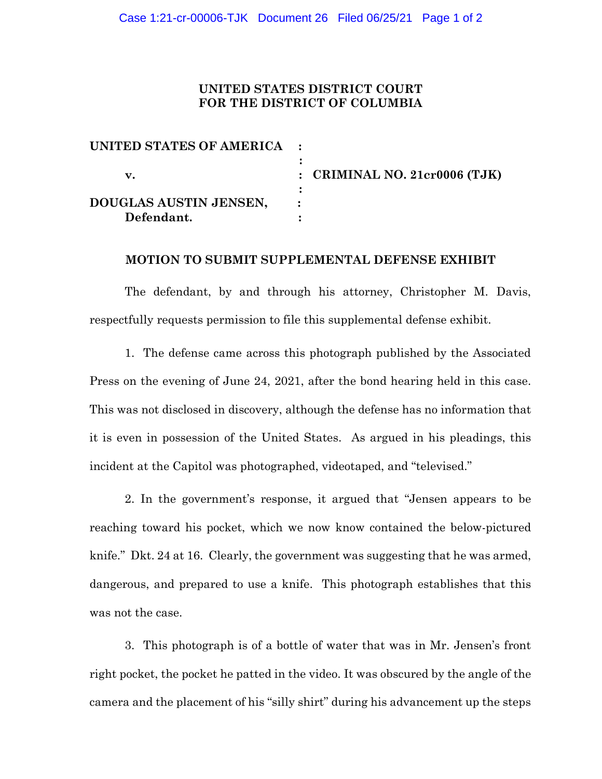### **UNITED STATES DISTRICT COURT FOR THE DISTRICT OF COLUMBIA**

| UNITED STATES OF AMERICA : |                                 |
|----------------------------|---------------------------------|
| v.                         | : CRIMINAL NO. $21cr0006$ (TJK) |
| DOUGLAS AUSTIN JENSEN,     |                                 |
| Defendant.                 |                                 |

#### **MOTION TO SUBMIT SUPPLEMENTAL DEFENSE EXHIBIT**

The defendant, by and through his attorney, Christopher M. Davis, respectfully requests permission to file this supplemental defense exhibit.

1. The defense came across this photograph published by the Associated Press on the evening of June 24, 2021, after the bond hearing held in this case. This was not disclosed in discovery, although the defense has no information that it is even in possession of the United States. As argued in his pleadings, this incident at the Capitol was photographed, videotaped, and "televised."

2. In the government's response, it argued that "Jensen appears to be reaching toward his pocket, which we now know contained the below-pictured knife." Dkt. 24 at 16. Clearly, the government was suggesting that he was armed, dangerous, and prepared to use a knife. This photograph establishes that this was not the case.

3. This photograph is of a bottle of water that was in Mr. Jensen's front right pocket, the pocket he patted in the video. It was obscured by the angle of the camera and the placement of his "silly shirt" during his advancement up the steps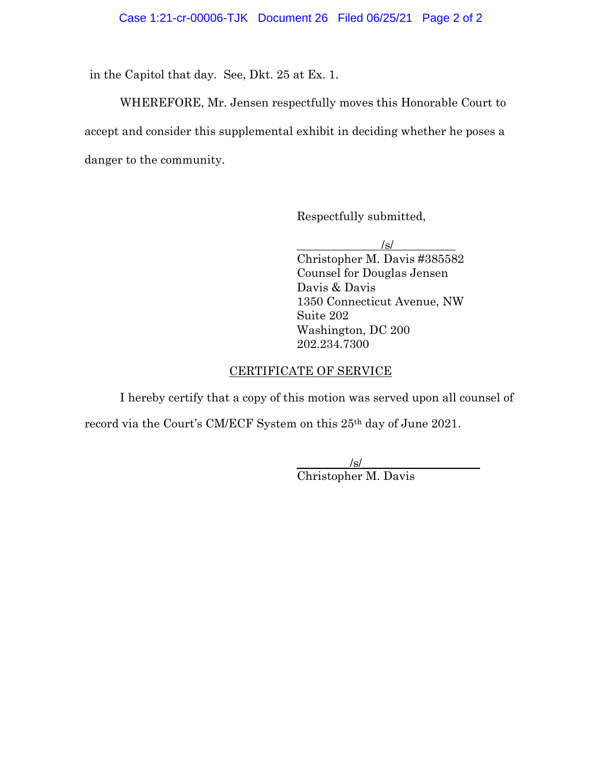in the Capitol that day. See, Dkt. 25 at Ex. 1.

WHEREFORE, Mr. Jensen respectfully moves this Honorable Court to accept and consider this supplemental exhibit in deciding whether he poses a danger to the community.

Respectfully submitted,

 $/s/$ Christopher M. Davis #385582 Counsel for Douglas Jensen Davis & Davis 1350 Connecticut Avenue, NW Suite 202 Washington, DC 200 202.234.7300

#### CERTIFICATE OF SERVICE

I hereby certify that a copy of this motion was served upon all counsel of record via the Court's CM/ECF System on this 25th day of June 2021.

> $\sqrt{s}$ / Christopher M. Davis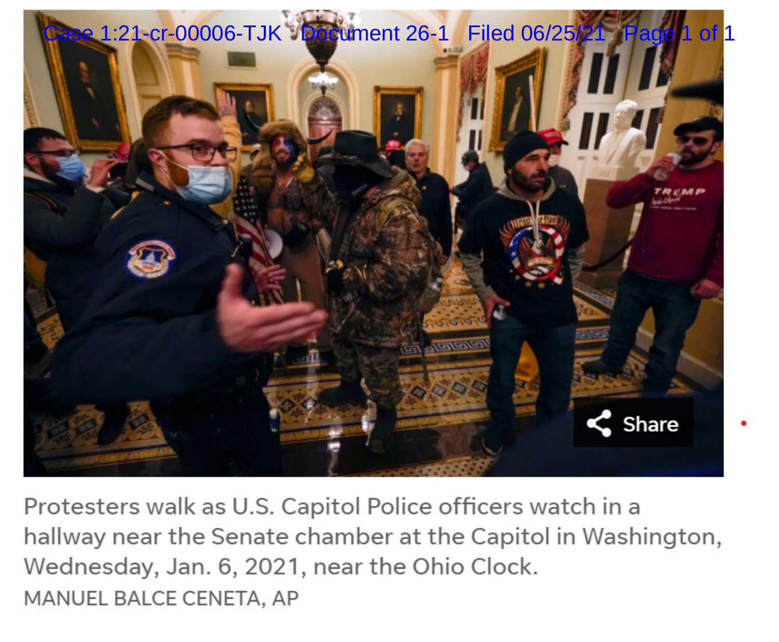

Protesters walk as U.S. Capitol Police officers watch in a hallway near the Senate chamber at the Capitol in Washington, Wednesday, Jan. 6, 2021, near the Ohio Clock. MANUEL BALCE CENETA, AP